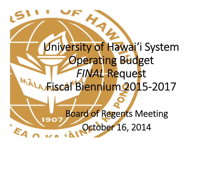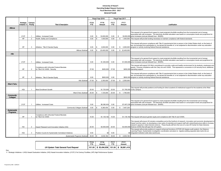## **University of Hawai'i Operating Budget Request Summary Fiscal Biennium 2015 - 2017** *General Funds*

|                        |               |                |                                                                           | Fiscal Year 2016           |    | Fiscal Year 2017 |             |    |               |                                                                                                                                                                                                                                                                                                                                                                                                                                              |
|------------------------|---------------|----------------|---------------------------------------------------------------------------|----------------------------|----|------------------|-------------|----|---------------|----------------------------------------------------------------------------------------------------------------------------------------------------------------------------------------------------------------------------------------------------------------------------------------------------------------------------------------------------------------------------------------------------------------------------------------------|
|                        | Strategic     | Campus         |                                                                           | <b>FY16</b><br><b>FY16</b> |    | FY17             | <b>FY17</b> |    |               |                                                                                                                                                                                                                                                                                                                                                                                                                                              |
|                        | Initiative 1/ | Priority       | <b>Title &amp; Description</b>                                            | <b>FTE</b>                 |    | Amount           | FTE.        |    | <b>Amount</b> | <b>Justification</b>                                                                                                                                                                                                                                                                                                                                                                                                                         |
| Mānoa                  |               |                |                                                                           |                            |    |                  |             |    |               |                                                                                                                                                                                                                                                                                                                                                                                                                                              |
|                        | 21CF          | $\overline{1}$ | Utilities: Increased Costs                                                | 0.00                       |    | 16,000,000       | 0.00        | \$ |               | This request is for general fund support to meet projected shortfalls resulting from the incremental cost of energy<br>associated with rate increases. The electricity shortfall calculation was based on consumption levels and projections for<br>18,000,000 price increases (cost per kilowatt hour - \$/kWH).                                                                                                                            |
|                        | <b>HP</b>     | $\overline{2}$ | Health, Safety and Compliance                                             | 0.00                       |    | 1,400,000        | 0.00        | \$ |               | 1,400,000 This request will provide funding necessary to maintain compliance with federal standards.                                                                                                                                                                                                                                                                                                                                         |
|                        | HP            | 3              | Athletics: Title IX Gender Equity                                         | 0.00                       |    | 3.000.000        | 0.00        |    | \$3,000,000   | This request will ensure compliance with Title IX requirements that no person in the United States shall, on the basis of<br>sex, be excluded from participation in, be denied the benefits of, or be subjected to discrimination under any education<br>program or activity receiving federal financial assistance.                                                                                                                         |
|                        |               |                | Mānoa Subtota                                                             | 0.00                       |    | 20,400,000       | 0.00        |    | \$22,400,000  |                                                                                                                                                                                                                                                                                                                                                                                                                                              |
| Hilo                   |               |                |                                                                           |                            |    |                  |             |    |               |                                                                                                                                                                                                                                                                                                                                                                                                                                              |
|                        | 21CF          | $\overline{1}$ | Utilities: Increased Costs                                                | 0.00                       |    | \$1,300,000      | 0.00        |    |               | This request is for general fund support to meet projected shortfalls resulting from the incremental cost of energy<br>associated with rate increases. The electricity shortfall calculation was based on consumption levels and projections for<br>\$1,500,000 price increases (cost per kilowatt hour - \$/kWH).                                                                                                                           |
|                        | HP            | $\overline{2}$ | Compliance with Unfunded Federal Mandate<br>for Title IX & VAWA: Security | 37.00                      |    | \$450,000        | 37.00       |    |               | This request will support UH Hilo's commitment to provide a safe and healthy environment for its students, employees and<br>quests. Ensures compliance with the Clery Act and VAWA. This represents a conversion to UH security force; additional<br>\$450,000 operating support.                                                                                                                                                            |
|                        | HP            | 3              | Athletics: Title IX Gender Equity                                         | 0.00                       |    | \$600,000        | 0.00        |    |               | This request will ensure compliance with Title IX requirements that no person in the United States shall, on the basis of<br>sex, be excluded from participation in, be denied the benefits of, or be subjected to discrimination under any education<br>\$600,000 program or activity receiving federal financial assistance.                                                                                                               |
|                        |               |                | Hilo Subtotal                                                             | 37.00                      |    | 2,350,000        | 37.00       |    | \$2,550,000   |                                                                                                                                                                                                                                                                                                                                                                                                                                              |
| West O'ahu             |               |                |                                                                           |                            |    |                  |             |    |               |                                                                                                                                                                                                                                                                                                                                                                                                                                              |
|                        | HGI           | $\overline{1}$ | Meet Enrollment Growth                                                    | 25.00                      |    | \$1,725,000      | 25.00       |    |               | This request will provide positions and funding for direct academic & institutional support for the students at the West<br>\$1,795,000 O'ahu campus.                                                                                                                                                                                                                                                                                        |
|                        |               |                | West O'ahu Subtotal                                                       | 25.00                      |    | 1,725,000        | 25.00       |    | \$ 1,795,000  |                                                                                                                                                                                                                                                                                                                                                                                                                                              |
| Community<br>Colleges  |               |                |                                                                           |                            |    |                  |             |    |               |                                                                                                                                                                                                                                                                                                                                                                                                                                              |
|                        | 21CF          | $\overline{1}$ | Utilities: Increased Costs                                                | 0.00                       |    | \$6,380,454      | 0.00        |    |               | This request is for general fund support to meet projected shortfalls resulting from the incremental cost of energy<br>associated with rate increases. The electricity shortfall calculation was based on consumption levels and projections for<br>\$7,497,236 price increases (cost per kilowatt hour - \$/kWH).                                                                                                                           |
|                        |               |                | Community Colleges Subtota                                                | 0.00                       |    | 6,380,454        | 0.00        |    | \$7,497,236   |                                                                                                                                                                                                                                                                                                                                                                                                                                              |
| Systemwide<br>Programs |               |                |                                                                           |                            |    |                  |             |    |               |                                                                                                                                                                                                                                                                                                                                                                                                                                              |
|                        | <b>HP</b>     | $\overline{1}$ | Compliance with Unfunded Federal Mandate<br>for Title IX & VAWA           | 10.00                      |    | \$1,139,182      | 10.00       |    |               | \$1,139,182 This request will assure gender equity and compliance with Title IX and VAWA.                                                                                                                                                                                                                                                                                                                                                    |
|                        | H12           | $\overline{2}$ | Hawai'i Research and Innovation Initiative (HI2)                          | 20.00                      |    | \$3,500,000      | 20.00       |    |               | This request will ensure UH remains competitive and at the forefront of research, innovation and economic development in<br>Hawai'i and the nation, by developing a new cadre of scientists and support staff with cyberinfrastructure skills to increase<br>research capacity in data intensive science. These faculty will form the core of a new UH Center for Data Intensive<br>\$3,500,000 Science (CDIS) that will span the UH system. |
|                        | HGI           | 3              | Position Counts for Systemwide Centralized Initiatives                    | 9.00                       |    | \$0              | 9.00        |    |               | This request will provide positions to support enhanced functions of STAR (UH degree audit system), the Distance<br>Learning Project, Systemwide investigation coordination and plans to migrate existing separate data marts into an<br>\$0 integrated institution-wide data warehouse.                                                                                                                                                     |
|                        |               |                | Systemwide Programs Subtotal                                              | 39.00                      | -S | 4,639,182        | 39.00       |    | \$4.639.182   |                                                                                                                                                                                                                                                                                                                                                                                                                                              |

|                                      | <b>FY16</b> | <b>FY16</b><br>Amount | <b>FY17</b> | FY17<br>Amount                                |
|--------------------------------------|-------------|-----------------------|-------------|-----------------------------------------------|
| UH System Total General Fund Request |             |                       |             | $ 101.00 $ \$ 35,494,636 101.00 \$ 38,881,418 |

Key:

1/ - Strategic Initiatives = (HGI) Hawaii Graduation Initiative; (HI2) Hawaii Innovation Initiative; (21CF) 21st Century Facilities; (HP) High Performance System